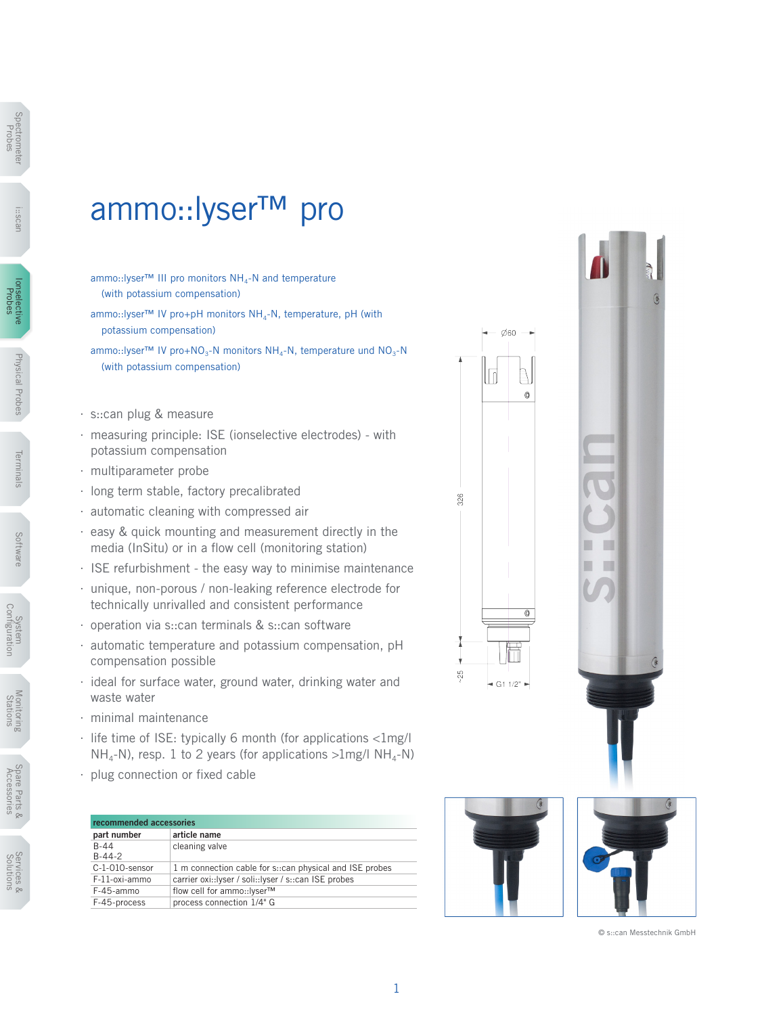## ammo::lyser™ pro

- ammo::lyser™ III pro monitors NH<sub>4</sub>-N and temperature (with potassium compensation)
- ammo::lyser™ IV pro+pH monitors NH<sub>4</sub>-N, temperature, pH (with potassium compensation)
- ammo::lyser™ IV pro+NO<sub>3</sub>-N monitors NH<sub>4</sub>-N, temperature und NO<sub>3</sub>-N (with potassium compensation)
- ∙ s::can plug & measure
- ∙ measuring principle: ISE (ionselective electrodes) with potassium compensation
- ∙ multiparameter probe
- ∙ long term stable, factory precalibrated
- ∙ automatic cleaning with compressed air
- ∙ easy & quick mounting and measurement directly in the media (InSitu) or in a flow cell (monitoring station)
- ∙ ISE refurbishment the easy way to minimise maintenance
- ∙ unique, non-porous / non-leaking reference electrode for technically unrivalled and consistent performance
- ∙ operation via s::can terminals & s::can software
- ∙ automatic temperature and potassium compensation, pH compensation possible
- ∙ ideal for surface water, ground water, drinking water and waste water
- ∙ minimal maintenance
- ∙ life time of ISE: typically 6 month (for applications <1mg/l  $NH_{4}-N$ ), resp. 1 to 2 years (for applications  $>1$ mg/l NH<sub>4</sub>-N)
- ∙ plug connection or fixed cable

| recommended accessories |                                                         |  |  |  |
|-------------------------|---------------------------------------------------------|--|--|--|
| part number             | article name                                            |  |  |  |
| $B-44$                  | cleaning valve                                          |  |  |  |
| $B-44-2$                |                                                         |  |  |  |
| C-1-010-sensor          | 1 m connection cable for s::can physical and ISE probes |  |  |  |
| F-11-oxi-ammo           | carrier oxi::lyser / soli::lyser / s::can ISE probes    |  |  |  |
| F-45-ammo               | flow cell for ammo::lyser™                              |  |  |  |
| F-45-process            | process connection 1/4" G                               |  |  |  |







© s::can Messtechnik GmbH

1

i::scan

Monitoring **NOTIFICITIES**<br>Stations

Services & Solutions

Services &